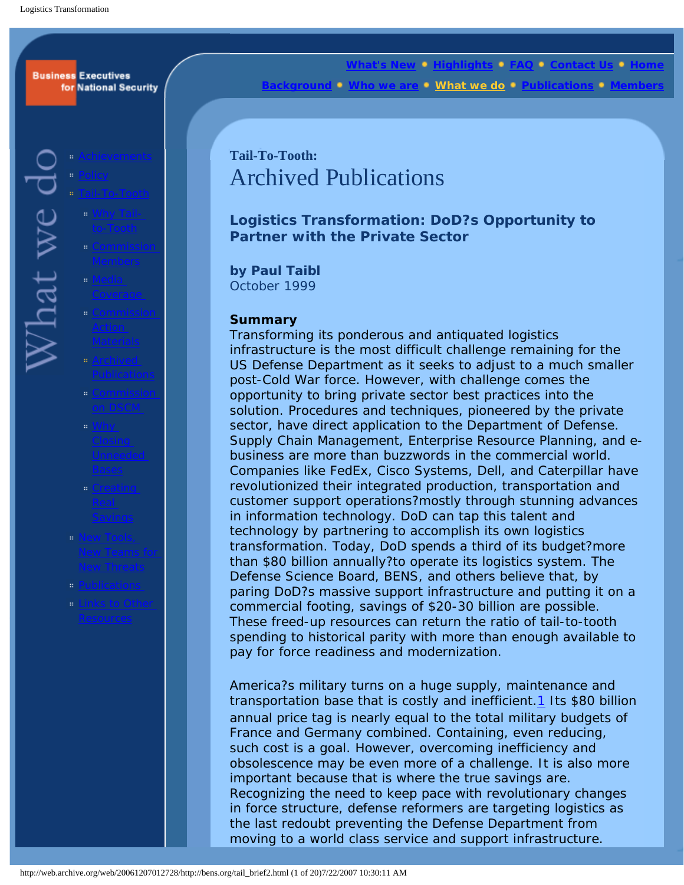### <span id="page-0-0"></span>**Business Executives** for National Security

 $N$ hat we d

- 
- 
- 
- 
- 
- 
- 
- 
- 
- 
- 

**[What's New](http://web.archive.org/web/20061207012728/http://bens.org/WhatsNew.html) • [Highlights](http://web.archive.org/web/20061207012728/http://bens.org/highlights.html) • [FAQ](http://web.archive.org/web/20061207012728/http://bens.org/faq.html) • [Contact Us](http://web.archive.org/web/20061207012728/http://bens.org/contact.html) • H <u>[Background](http://web.archive.org/web/20061207012728/http://bens.org/about.html)s we do <b>[Publications](http://web.archive.org/web/20061207012728/http://bens.org/pubs.html)** • [Members](http://web.archive.org/web/20061207012728/http://bens.org/members.html) of Members  $\bullet$ </u> Members

# **Tail-To-Tooth:**  Archived Publications

**Logistics Transformation: DoD?s Opportunity to Partner with the Private Sector**

**by Paul Taibl** October 1999

### **Summary**

Transforming its ponderous and antiquated logistics infrastructure is the most difficult challenge remaining for the US Defense Department as it seeks to adjust to a much smaller post-Cold War force. However, with challenge comes the opportunity to bring private sector best practices into the solution. Procedures and techniques, pioneered by the private sector, have direct application to the Department of Defense. Supply Chain Management, Enterprise Resource Planning, and ebusiness are more than buzzwords in the commercial world. Companies like FedEx, Cisco Systems, Dell, and Caterpillar have revolutionized their integrated production, transportation and customer support operations?mostly through stunning advances in information technology. DoD can tap this talent and technology by partnering to accomplish its own logistics transformation. Today, DoD spends a third of its budget?more than \$80 billion annually?to operate its logistics system. The Defense Science Board, BENS, and others believe that, by paring DoD?s massive support infrastructure and putting it on a commercial footing, savings of \$20-30 billion are possible. These freed-up resources can return the ratio of tail-to-tooth spending to historical parity with more than enough available to pay for force readiness and modernization.

America?s military turns on a huge supply, maintenance and transportation base that is costly and inefficient.<sup>1</sup> Its \$80 billion annual price tag is nearly equal to the total military budgets of France and Germany combined. Containing, even reducing, such cost is a goal. However, overcoming inefficiency and obsolescence may be even more of a challenge. It is also more important because that is where the true savings are. Recognizing the need to keep pace with revolutionary changes in force structure, defense reformers are targeting logistics as the last redoubt preventing the Defense Department from moving to a world class service and support infrastructure.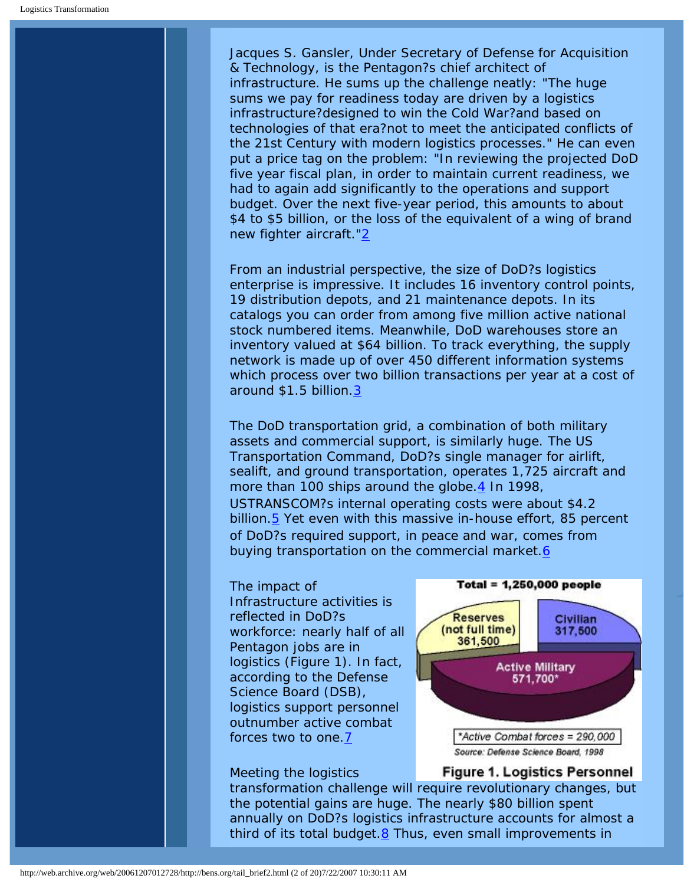Jacques S. Gansler, Under Secretary of Defense for Acquisition & Technology, is the Pentagon?s chief architect of infrastructure. He sums up the challenge neatly: "The huge sums we pay for readiness today are driven by a logistics infrastructure?designed to win the Cold War?and based on technologies of that era?not to meet the anticipated conflicts of the 21st Century with modern logistics processes." He can even put a price tag on the problem: "In reviewing the projected DoD five year fiscal plan, in order to maintain current readiness, we had to again add significantly to the operations and support budget. Over the next five-year period, this amounts to about \$4 to \$5 billion, or the loss of the equivalent of a wing of brand new fighter aircraft."[2](#page-16-1)

From an industrial perspective, the size of DoD?s logistics enterprise is impressive. It includes 16 inventory control points, 19 distribution depots, and 21 maintenance depots. In its catalogs you can order from among five million active national stock numbered items. Meanwhile, DoD warehouses store an inventory valued at \$64 billion. To track everything, the supply network is made up of over 450 different information systems which process over two billion transactions per year at a cost of around \$1.5 billion[.3](#page-17-0)

The DoD transportation grid, a combination of both military assets and commercial support, is similarly huge. The US Transportation Command, DoD?s single manager for airlift, sealift, and ground transportation, operates 1,725 aircraft and more than 100 ships around the globe  $\frac{4}{1}$  In 1998, USTRANSCOM?s internal operating costs were about \$4.2 billion[.5](#page-17-2) Yet even with this massive in-house effort, 85 percent of DoD?s required support, in peace and war, comes from buying transportation on the commercial market.[6](#page-17-3)

# The impact of Infrastructure activities is reflected in DoD?s workforce: nearly half of all Pentagon jobs are in logistics (Figure 1). In fact, according to the Defense Science Board (DSB), logistics support personnel outnumber active combat forces two to one[.7](#page-17-4)

### Meeting the logistics

**Total = 1,250,000 people Reserves** Civilian (not full time) 317,500 361,500 **Active Military** 571,700\* \*Active Combat forces = 290,000 Source: Defense Science Board, 1998

**Figure 1. Logistics Personnel** 

transformation challenge will require revolutionary changes, but the potential gains are huge. The nearly \$80 billion spent annually on DoD?s logistics infrastructure accounts for almost a third of its total budget. $8$  Thus, even small improvements in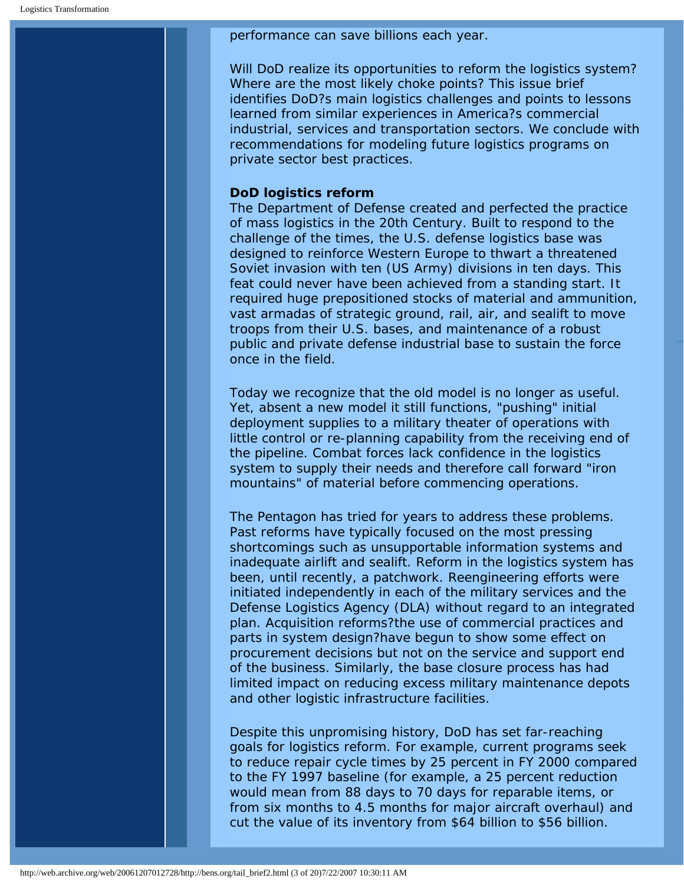performance can save billions each year.

Will DoD realize its opportunities to reform the logistics system? Where are the most likely choke points? This issue brief identifies DoD?s main logistics challenges and points to lessons learned from similar experiences in America?s commercial industrial, services and transportation sectors. We conclude with recommendations for modeling future logistics programs on private sector best practices.

### **DoD logistics reform**

The Department of Defense created and perfected the practice of mass logistics in the 20th Century. Built to respond to the challenge of the times, the U.S. defense logistics base was designed to reinforce Western Europe to thwart a threatened Soviet invasion with ten (US Army) divisions in ten days. This feat could never have been achieved from a standing start. It required huge prepositioned stocks of material and ammunition, vast armadas of strategic ground, rail, air, and sealift to move troops from their U.S. bases, and maintenance of a robust public and private defense industrial base to sustain the force once in the field.

Today we recognize that the old model is no longer as useful. Yet, absent a new model it still functions, "pushing" initial deployment supplies to a military theater of operations with little control or re-planning capability from the receiving end of the pipeline. Combat forces lack confidence in the logistics system to supply their needs and therefore call forward "iron mountains" of material before commencing operations.

The Pentagon has tried for years to address these problems. Past reforms have typically focused on the most pressing shortcomings such as unsupportable information systems and inadequate airlift and sealift. Reform in the logistics system has been, until recently, a patchwork. Reengineering efforts were initiated independently in each of the military services and the Defense Logistics Agency (DLA) without regard to an integrated plan. Acquisition reforms?the use of commercial practices and parts in system design?have begun to show some effect on procurement decisions but not on the service and support end of the business. Similarly, the base closure process has had limited impact on reducing excess military maintenance depots and other logistic infrastructure facilities.

Despite this unpromising history, DoD has set far-reaching goals for logistics reform. For example, current programs seek to reduce repair cycle times by 25 percent in FY 2000 compared to the FY 1997 baseline (for example, a 25 percent reduction would mean from 88 days to 70 days for reparable items, or from six months to 4.5 months for major aircraft overhaul) and cut the value of its inventory from \$64 billion to \$56 billion.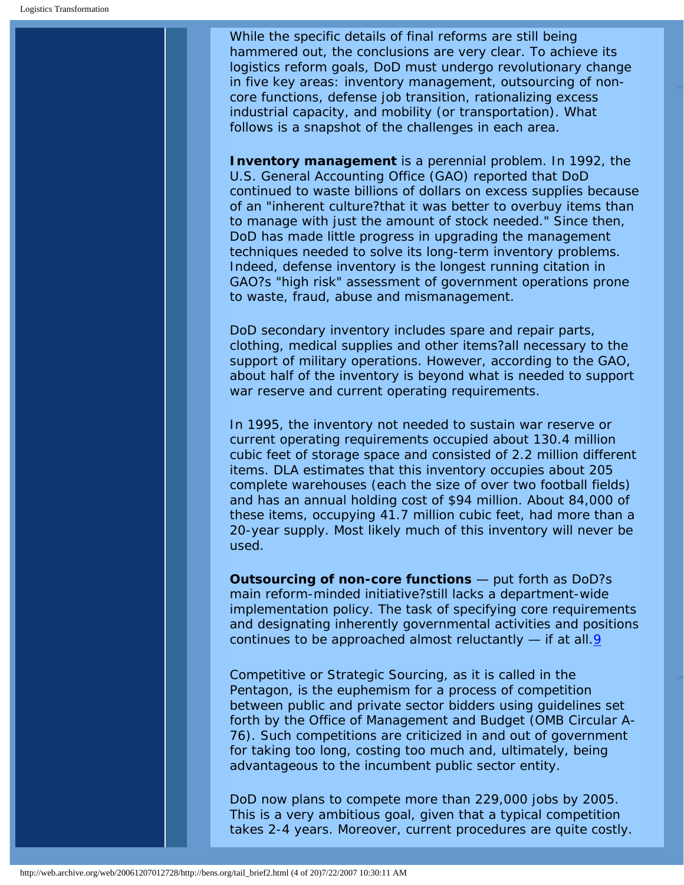While the specific details of final reforms are still being hammered out, the conclusions are very clear. To achieve its logistics reform goals, DoD must undergo revolutionary change in five key areas: inventory management, outsourcing of noncore functions, defense job transition, rationalizing excess industrial capacity, and mobility (or transportation). What follows is a snapshot of the challenges in each area.

**Inventory management** is a perennial problem. In 1992, the U.S. General Accounting Office (GAO) reported that DoD continued to waste billions of dollars on excess supplies because of an "inherent culture?that it was better to overbuy items than to manage with just the amount of stock needed." Since then, DoD has made little progress in upgrading the management techniques needed to solve its long-term inventory problems. Indeed, defense inventory is the longest running citation in GAO?s "high risk" assessment of government operations prone to waste, fraud, abuse and mismanagement.

DoD secondary inventory includes spare and repair parts, clothing, medical supplies and other items?all necessary to the support of military operations. However, according to the GAO, about half of the inventory is beyond what is needed to support war reserve and current operating requirements.

In 1995, the inventory not needed to sustain war reserve or current operating requirements occupied about 130.4 million cubic feet of storage space and consisted of 2.2 million different items. DLA estimates that this inventory occupies about 205 complete warehouses (each the size of over two football fields) and has an annual holding cost of \$94 million. About 84,000 of these items, occupying 41.7 million cubic feet, had more than a 20-year supply. Most likely much of this inventory will never be used.

**Outsourcing of non-core functions** — put forth as DoD?s main reform-minded initiative?still lacks a department-wide implementation policy. The task of specifying core requirements and designating inherently governmental activities and positions continues to be approached almost reluctantly — if at all[.9](#page-17-6)

Competitive or Strategic Sourcing, as it is called in the Pentagon, is the euphemism for a process of competition between public and private sector bidders using guidelines set forth by the Office of Management and Budget (OMB Circular A-76). Such competitions are criticized in and out of government for taking too long, costing too much and, ultimately, being advantageous to the incumbent public sector entity.

DoD now plans to compete more than 229,000 jobs by 2005. This is a very ambitious goal, given that a typical competition takes 2-4 years. Moreover, current procedures are quite costly.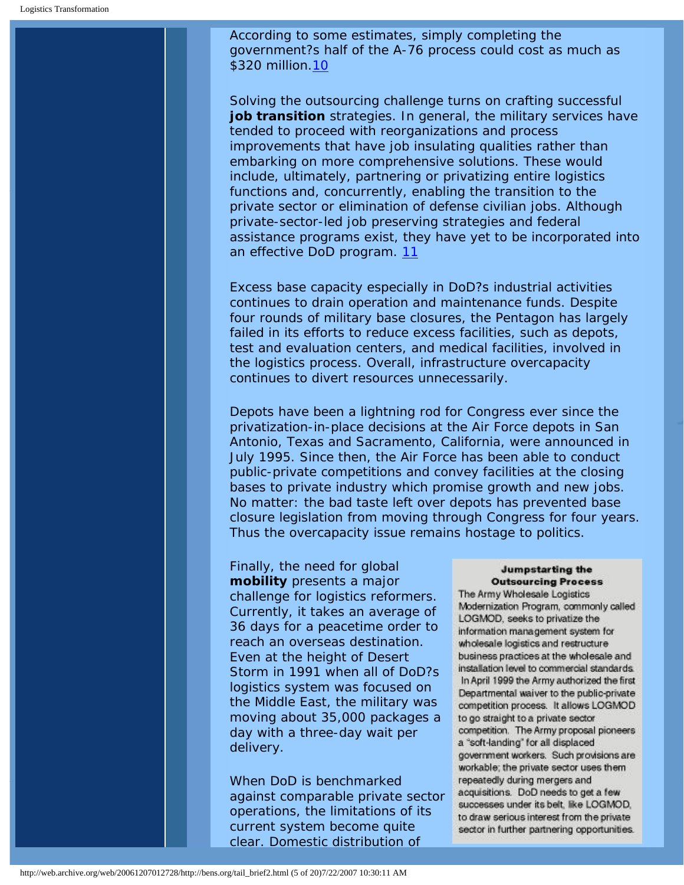According to some estimates, simply completing the government?s half of the A-76 process could cost as much as \$320 million.[10](#page-17-7)

Solving the outsourcing challenge turns on crafting successful job transition strategies. In general, the military services have tended to proceed with reorganizations and process improvements that have job insulating qualities rather than embarking on more comprehensive solutions. These would include, ultimately, partnering or privatizing entire logistics functions and, concurrently, enabling the transition to the private sector or elimination of defense civilian jobs. Although private-sector-led job preserving strategies and federal assistance programs exist, they have yet to be incorporated into an effective DoD program. [11](#page-17-8)

Excess base capacity especially in DoD?s industrial activities continues to drain operation and maintenance funds. Despite four rounds of military base closures, the Pentagon has largely failed in its efforts to reduce excess facilities, such as depots, test and evaluation centers, and medical facilities, involved in the logistics process. Overall, infrastructure overcapacity continues to divert resources unnecessarily.

Depots have been a lightning rod for Congress ever since the privatization-in-place decisions at the Air Force depots in San Antonio, Texas and Sacramento, California, were announced in July 1995. Since then, the Air Force has been able to conduct public-private competitions and convey facilities at the closing bases to private industry which promise growth and new jobs. No matter: the bad taste left over depots has prevented base closure legislation from moving through Congress for four years. Thus the overcapacity issue remains hostage to politics.

Finally, the need for global **mobility** presents a major challenge for logistics reformers. Currently, it takes an average of 36 days for a peacetime order to reach an overseas destination. Even at the height of Desert Storm in 1991 when all of DoD?s logistics system was focused on the Middle East, the military was moving about 35,000 packages a day with a three-day wait per delivery.

When DoD is benchmarked against comparable private sector operations, the limitations of its current system become quite clear. Domestic distribution of

### **Jumpstarting the Outsourcing Process**

The Army Wholesale Logistics Modernization Program, commonly called LOGMOD, seeks to privatize the information management system for wholesale logistics and restructure business practices at the wholesale and installation level to commercial standards. In April 1999 the Army authorized the first Departmental waiver to the public-private competition process. It allows LOGMOD to go straight to a private sector competition. The Army proposal pioneers a "soft-landing" for all displaced government workers. Such provisions are workable; the private sector uses them repeatedly during mergers and acquisitions. DoD needs to get a few successes under its belt, like LOGMOD, to draw serious interest from the private sector in further partnering opportunities.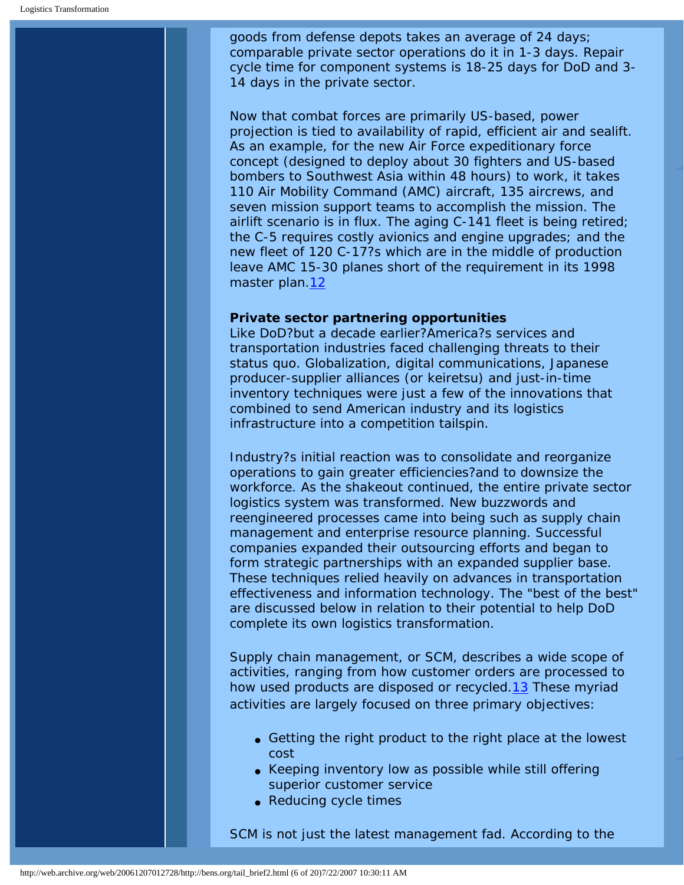goods from defense depots takes an average of 24 days; comparable private sector operations do it in 1-3 days. Repair cycle time for component systems is 18-25 days for DoD and 3- 14 days in the private sector.

Now that combat forces are primarily US-based, power projection is tied to availability of rapid, efficient air and sealift. As an example, for the new Air Force expeditionary force concept (designed to deploy about 30 fighters and US-based bombers to Southwest Asia within 48 hours) to work, it takes 110 Air Mobility Command (AMC) aircraft, 135 aircrews, and seven mission support teams to accomplish the mission. The airlift scenario is in flux. The aging C-141 fleet is being retired; the C-5 requires costly avionics and engine upgrades; and the new fleet of 120 C-17?s which are in the middle of production leave AMC 15-30 planes short of the requirement in its 1998 master plan[.12](#page-18-0)

### **Private sector partnering opportunities**

Like DoD?but a decade earlier?America?s services and transportation industries faced challenging threats to their *status quo*. Globalization, digital communications, Japanese producer-supplier alliances (or keiretsu) and just-in-time inventory techniques were just a few of the innovations that combined to send American industry and its logistics infrastructure into a competition tailspin.

Industry?s initial reaction was to consolidate and reorganize operations to gain greater efficiencies?and to downsize the workforce. As the shakeout continued, the entire private sector logistics system was transformed. New buzzwords and reengineered processes came into being such as supply chain management and enterprise resource planning. Successful companies expanded their outsourcing efforts and began to form strategic partnerships with an expanded supplier base. These techniques relied heavily on advances in transportation effectiveness and information technology. The "best of the best" are discussed below in relation to their potential to help DoD complete its own logistics transformation.

Supply chain management, or SCM, describes a wide scope of activities, ranging from how customer orders are processed to how used products are disposed or recycled.[13](#page-18-1) These myriad activities are largely focused on three primary objectives:

- Getting the right product to the right place at the lowest cost
- Keeping inventory low as possible while still offering superior customer service
- Reducing cycle times

SCM is not just the latest management fad. According to the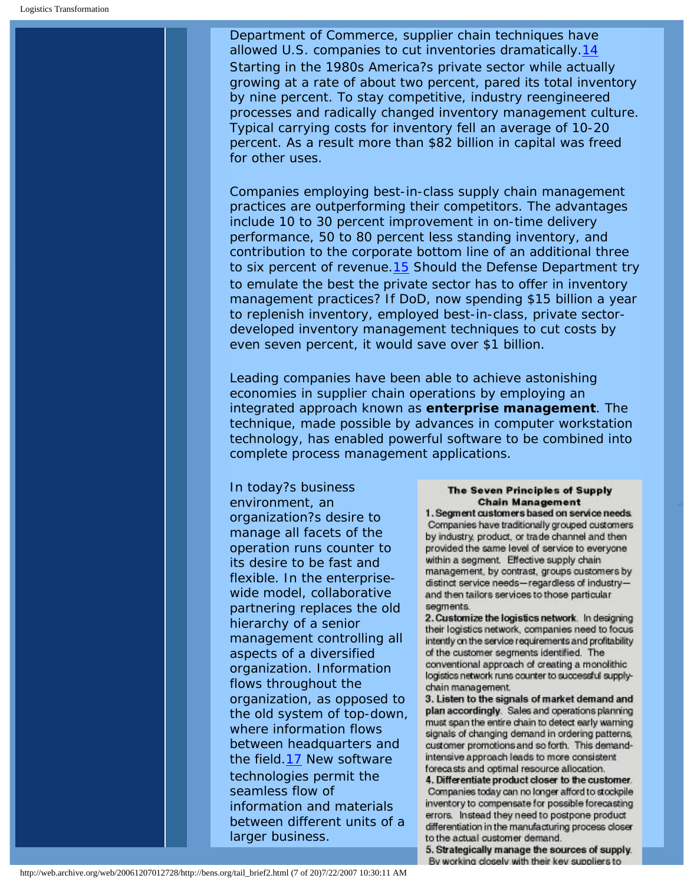Department of Commerce, supplier chain techniques have allowed U.S. companies to cut inventories dramatically[.14](#page-18-2) Starting in the 1980s America?s private sector while actually growing at a rate of about two percent, pared its total inventory by nine percent. To stay competitive, industry reengineered processes and radically changed inventory management culture. Typical carrying costs for inventory fell an average of 10-20 percent. As a result more than \$82 billion in capital was freed for other uses.

Companies employing best-in-class supply chain management practices are outperforming their competitors. The advantages include 10 to 30 percent improvement in on-time delivery performance, 50 to 80 percent less standing inventory, and contribution to the corporate bottom line of an additional three to six percent of revenue[.15](#page-18-3) Should the Defense Department try to emulate the best the private sector has to offer in inventory management practices? If DoD, now spending \$15 billion a year to replenish inventory, employed best-in-class, private sectordeveloped inventory management techniques to cut costs by even seven percent, it would save over \$1 billion.

Leading companies have been able to achieve astonishing economies in supplier chain operations by employing an integrated approach known as **enterprise management**. The technique, made possible by advances in computer workstation technology, has enabled powerful software to be combined into complete process management applications.

In today?s business environment, an organization?s desire to manage all facets of the operation runs counter to its desire to be fast and flexible. In the enterprisewide model, collaborative partnering replaces the old hierarchy of a senior management controlling all aspects of a diversified organization. Information flows throughout the organization, as opposed to the old system of top-down, where information flows between headquarters and the field.[17](#page-18-4) New software technologies permit the seamless flow of information and materials between different units of a larger business.

### **The Seven Principles of Supply Chain Management**

1. Segment customers based on service needs. Companies have traditionally grouped customers by industry, product, or trade channel and then provided the same level of service to everyone within a segment. Effective supply chain management, by contrast, groups customers by distinct service needs-regardless of industryand then tailors services to those particular segments.

2. Customize the logistics network. In designing their logistics network, companies need to focus intently on the service requirements and profitability of the customer segments identified. The conventional approach of creating a monolithic logistics network runs counter to successful supplychain management.

3. Listen to the signals of market demand and plan accordingly. Sales and operations planning must span the entire chain to detect early warning signals of changing demand in ordering patterns, customer promotions and so forth. This demandintensive approach leads to more consistent forecasts and optimal resource allocation.

4. Differentiate product closer to the customer. Companies today can no longer afford to stockpile inventory to compensate for possible forecasting errors. Instead they need to postpone product differentiation in the manufacturing process closer to the actual customer demand.

5. Strategically manage the sources of supply. By working closely with their key suppliers to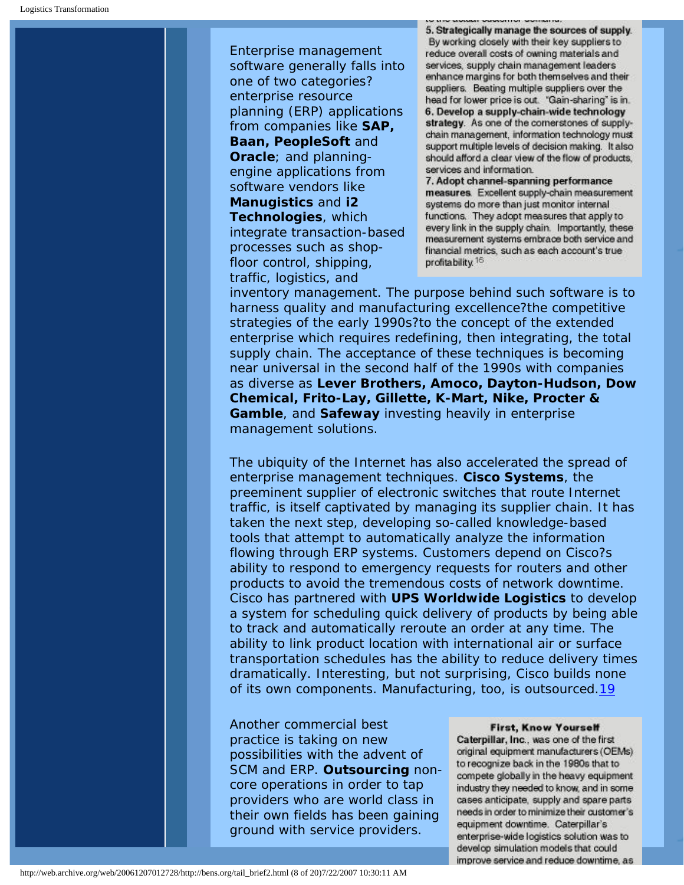Enterprise management software generally falls into one of two categories? enterprise resource planning (ERP) applications from companies like **SAP, Baan, PeopleSoft** and **Oracle**; and planningengine applications from software vendors like **Manugistics** and **i2 Technologies**, which integrate transaction-based processes such as shopfloor control, shipping, traffic, logistics, and

5. Strategically manage the sources of supply. By working closely with their key suppliers to reduce overall costs of owning materials and services, supply chain management leaders enhance margins for both themselves and their suppliers. Beating multiple suppliers over the head for lower price is out. "Gain-sharing" is in. 6. Develop a supply-chain-wide technology strategy. As one of the cornerstones of supplychain management, information technology must support multiple levels of decision making. It also should afford a clear view of the flow of products, services and information.

7. Adopt channel-spanning performance measures. Excellent supply-chain measurement systems do more than just monitor internal functions. They adopt measures that apply to every link in the supply chain. Importantly, these measurement systems embrace both service and financial metrics, such as each account's true profitability.<sup>16</sup>

inventory management. The purpose behind such software is to harness quality and manufacturing excellence?the competitive strategies of the early 1990s?to the concept of the extended enterprise which requires redefining, then integrating, the total supply chain. The acceptance of these techniques is becoming near universal in the second half of the 1990s with companies as diverse as **Lever Brothers, Amoco, Dayton-Hudson, Dow Chemical, Frito-Lay, Gillette, K-Mart, Nike, Procter & Gamble**, and **Safeway** investing heavily in enterprise management solutions.

The ubiquity of the Internet has also accelerated the spread of enterprise management techniques. **Cisco Systems**, the preeminent supplier of electronic switches that route Internet traffic, is itself captivated by managing its supplier chain. It has taken the next step, developing so-called knowledge-based tools that attempt to automatically analyze the information flowing through ERP systems. Customers depend on Cisco?s ability to respond to emergency requests for routers and other products to avoid the tremendous costs of network downtime. Cisco has partnered with **UPS Worldwide Logistics** to develop a system for scheduling quick delivery of products by being able to track and automatically reroute an order at any time. The ability to link product location with international air or surface transportation schedules has the ability to reduce delivery times dramatically. Interesting, but not surprising, Cisco builds none of its own components. Manufacturing, too, is outsourced.[19](#page-18-5)

Another commercial best practice is taking on new possibilities with the advent of SCM and ERP. **Outsourcing** noncore operations in order to tap providers who are world class in their own fields has been gaining ground with service providers.

#### **First, Know Yourself**

Caterpillar, Inc., was one of the first original equipment manufacturers (OEMs) to recognize back in the 1980s that to compete globally in the heavy equipment industry they needed to know, and in some cases anticipate, supply and spare parts needs in order to minimize their customer's equipment downtime. Caterpillar's enterprise-wide logistics solution was to develop simulation models that could improve service and reduce downtime, as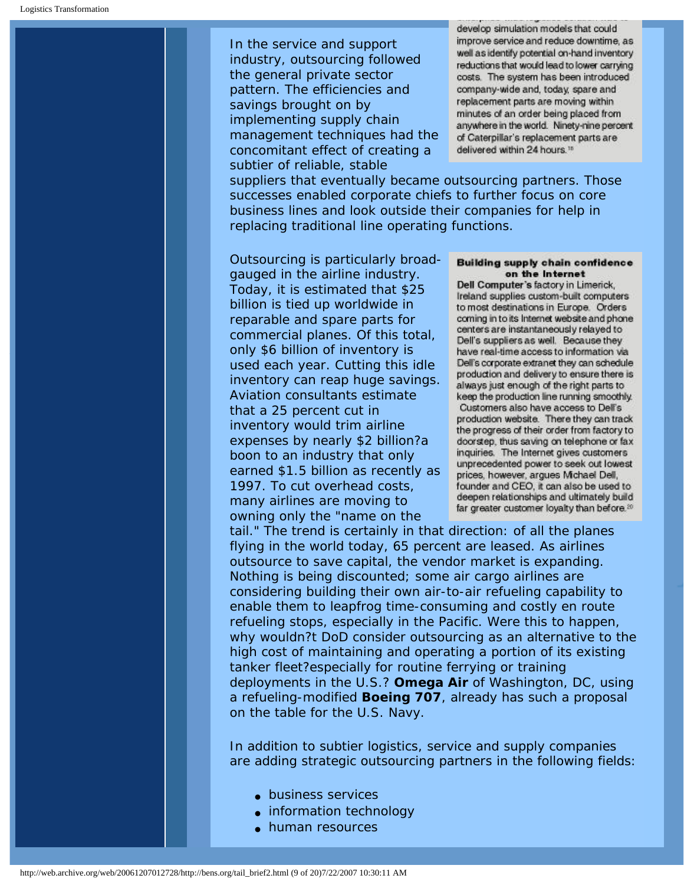In the service and support industry, outsourcing followed the general private sector pattern. The efficiencies and savings brought on by implementing supply chain management techniques had the concomitant effect of creating a subtier of reliable, stable

develop simulation models that could improve service and reduce downtime, as well as identify potential on-hand inventory reductions that would lead to lower carrying costs. The system has been introduced company-wide and, today, spare and replacement parts are moving within minutes of an order being placed from anywhere in the world. Ninety-nine percent of Caterpillar's replacement parts are delivered within 24 hours.<sup>15</sup>

suppliers that eventually became outsourcing partners. Those successes enabled corporate chiefs to further focus on core business lines and look outside their companies for help in replacing traditional line operating functions.

Outsourcing is particularly broadgauged in the airline industry. Today, it is estimated that \$25 billion is tied up worldwide in reparable and spare parts for commercial planes. Of this total, only \$6 billion of inventory is used each year. Cutting this idle inventory can reap huge savings. Aviation consultants estimate that a 25 percent cut in inventory would trim airline expenses by nearly \$2 billion?a boon to an industry that only earned \$1.5 billion as recently as 1997. To cut overhead costs, many airlines are moving to owning only the "name on the

#### Building supply chain confidence on the Internet

Dell Computer's factory in Limerick, Ireland supplies custom-built computers to most destinations in Europe. Orders coming in to its Internet website and phone centers are instantaneously relayed to Dell's suppliers as well. Because they have real-time access to information via Dell's corporate extranet they can schedule production and delivery to ensure there is always just enough of the right parts to keep the production line running smoothly. Customers also have access to Dell's production website. There they can track the progress of their order from factory to doorstep, thus saving on telephone or fax inquiries. The Internet gives customers unprecedented power to seek out lowest prices, however, argues Michael Dell, founder and CEO, it can also be used to deepen relationships and ultimately build far greater customer loyalty than before.<sup>20</sup>

tail." The trend is certainly in that direction: of all the planes flying in the world today, 65 percent are leased. As airlines outsource to save capital, the vendor market is expanding. Nothing is being discounted; some air cargo airlines are considering building their own air-to-air refueling capability to enable them to leapfrog time-consuming and costly en route refueling stops, especially in the Pacific. Were this to happen, why wouldn?t DoD consider outsourcing as an alternative to the high cost of maintaining and operating a portion of its existing tanker fleet?especially for routine ferrying or training deployments in the U.S.? **Omega Air** of Washington, DC, using a refueling-modified **Boeing 707**, already has such a proposal on the table for the U.S. Navy.

In addition to subtier logistics, service and supply companies are adding strategic outsourcing partners in the following fields:

- business services
- information technology
- human resources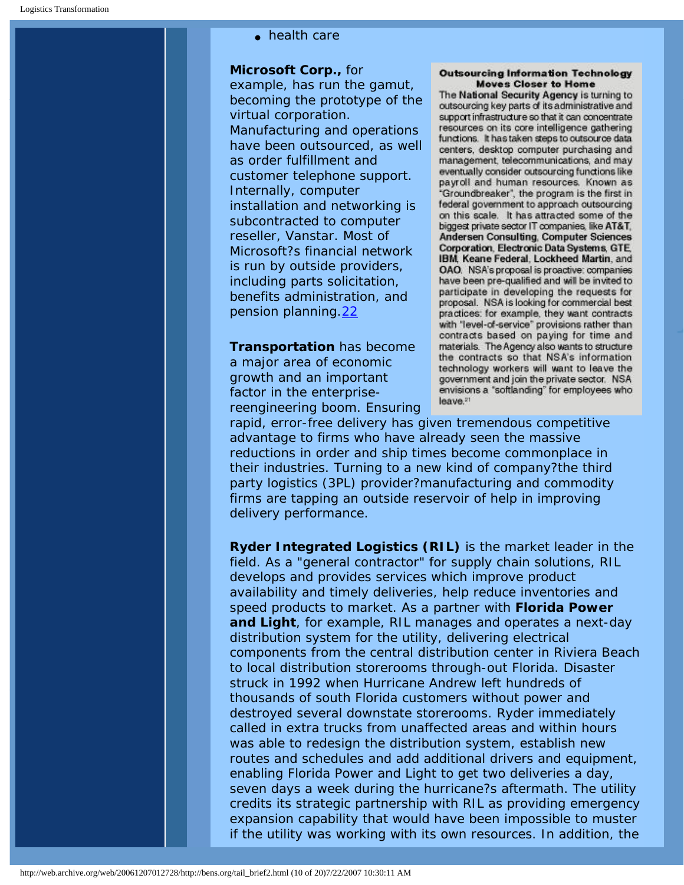• health care

**Microsoft Corp.,** for

example, has run the gamut, becoming the prototype of the virtual corporation. Manufacturing and operations have been outsourced, as well as order fulfillment and customer telephone support. Internally, computer installation and networking is subcontracted to computer reseller, Vanstar. Most of Microsoft?s financial network is run by outside providers, including parts solicitation, benefits administration, and pension planning.[22](#page-18-6)

**Transportation** has become a major area of economic growth and an important factor in the enterprisereengineering boom. Ensuring

#### **Outsourcing Information Technology Moves Closer to Home**

The National Security Agency is turning to outsourcing key parts of its administrative and support infrastructure so that it can concentrate resources on its core intelligence gathering functions. It has taken steps to outsource data centers, desktop computer purchasing and management, telecommunications, and may eventually consider outsourcing functions like payroll and human resources. Known as "Groundbreaker", the program is the first in federal government to approach outsourcing on this scale. It has attracted some of the biggest private sector IT companies, like AT&T. Andersen Consulting, Computer Sciences **Corporation, Electronic Data Systems, GTE** IBM, Keane Federal, Lockheed Martin, and OAO. NSA's proposal is proactive: companies have been pre-qualified and will be invited to participate in developing the requests for proposal. NSA is looking for commercial best practices: for example, they want contracts with 'level-of-service' provisions rather than contracts based on paying for time and materials. The Agency also wants to structure the contracts so that NSA's information technology workers will want to leave the government and join the private sector. NSA envisions a "softlanding" for employees who leave.<sup>21</sup>

rapid, error-free delivery has given tremendous competitive advantage to firms who have already seen the massive reductions in order and ship times become commonplace in their industries. Turning to a new kind of company?the third party logistics (3PL) provider?manufacturing and commodity firms are tapping an outside reservoir of help in improving delivery performance.

**Ryder Integrated Logistics (RIL)** is the market leader in the field. As a "general contractor" for supply chain solutions, RIL develops and provides services which improve product availability and timely deliveries, help reduce inventories and speed products to market. As a partner with **Florida Power and Light**, for example, RIL manages and operates a next-day distribution system for the utility, delivering electrical components from the central distribution center in Riviera Beach to local distribution storerooms through-out Florida. Disaster struck in 1992 when Hurricane Andrew left hundreds of thousands of south Florida customers without power and destroyed several downstate storerooms. Ryder immediately called in extra trucks from unaffected areas and within hours was able to redesign the distribution system, establish new routes and schedules and add additional drivers and equipment, enabling Florida Power and Light to get two deliveries a day, seven days a week during the hurricane?s aftermath. The utility credits its strategic partnership with RIL as providing emergency expansion capability that would have been impossible to muster if the utility was working with its own resources. In addition, the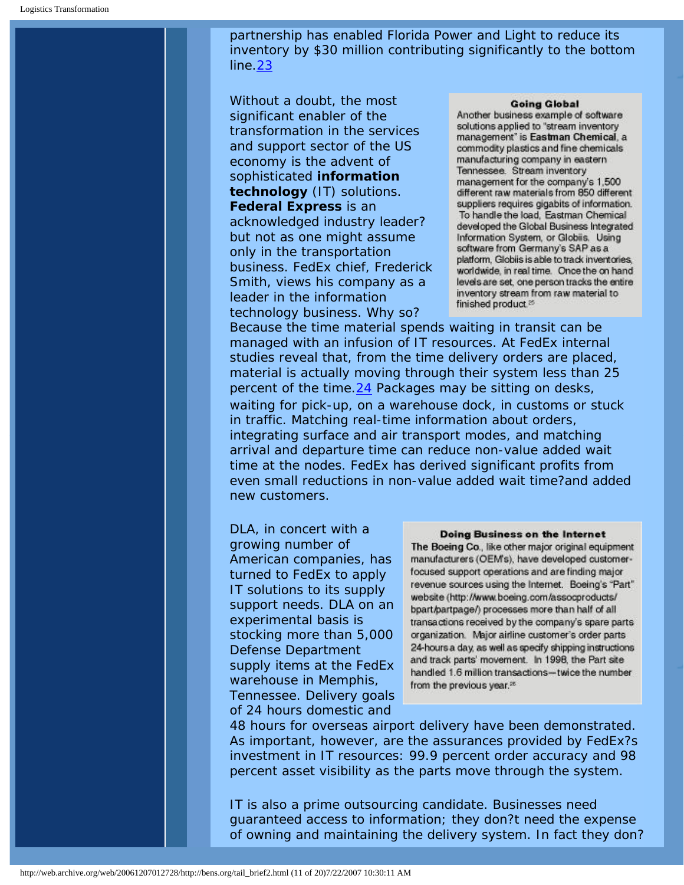partnership has enabled Florida Power and Light to reduce its inventory by \$30 million contributing significantly to the bottom line.[23](#page-18-7)

Without a doubt, the most significant enabler of the transformation in the services and support sector of the US economy is the advent of sophisticated **information technology** (IT) solutions. **Federal Express** is an acknowledged industry leader? but not as one might assume only in the transportation business. FedEx chief, Frederick Smith, views his company as a leader in the information technology business. Why so?

#### **Going Global**

Another business example of software solutions applied to "stream inventory management' is Eastman Chemical, a commodity plastics and fine chemicals manufacturing company in eastern Tennessee. Stream inventory management for the company's 1,500 different raw materials from 850 different suppliers requires gigabits of information. To handle the load, Eastman Chemical developed the Global Business Integrated Information System, or Globiis. Using software from Germany's SAP as a platform, Globiis is able to track inventories, worldwide, in real time. Once the on hand levels are set, one person tracks the entire inventory stream from raw material to finished product.<sup>25</sup>

Because the time material spends waiting in transit can be managed with an infusion of IT resources. At FedEx internal studies reveal that, from the time delivery orders are placed, material is actually moving through their system less than 25 percent of the time.[24](#page-18-8) Packages may be sitting on desks, waiting for pick-up, on a warehouse dock, in customs or stuck in traffic. Matching real-time information about orders, integrating surface and air transport modes, and matching arrival and departure time can reduce non-value added wait time at the nodes. FedEx has derived significant profits from even small reductions in non-value added wait time?and added new customers.

DLA, in concert with a growing number of American companies, has turned to FedEx to apply IT solutions to its supply support needs. DLA on an experimental basis is stocking more than 5,000 Defense Department supply items at the FedEx warehouse in Memphis, Tennessee. Delivery goals of 24 hours domestic and

### **Doing Business on the Internet**

The Boeing Co., like other major original equipment manufacturers (OEM's), have developed customerfocused support operations and are finding major revenue sources using the Internet. Boeing's "Part" website (http://www.boeing.com/assocproducts/ bpart/partpage/) processes more than half of all transactions received by the company's spare parts organization. Major airline customer's order parts 24-hours a day, as well as specify shipping instructions and track parts' movement. In 1998, the Part site handled 1.6 million transactions-twice the number from the previous year.<sup>28</sup>

48 hours for overseas airport delivery have been demonstrated. As important, however, are the assurances provided by FedEx?s investment in IT resources: 99.9 percent order accuracy and 98 percent asset visibility as the parts move through the system.

IT is also a prime outsourcing candidate. Businesses need guaranteed access to information; they don?t need the expense of owning and maintaining the delivery system. In fact they don?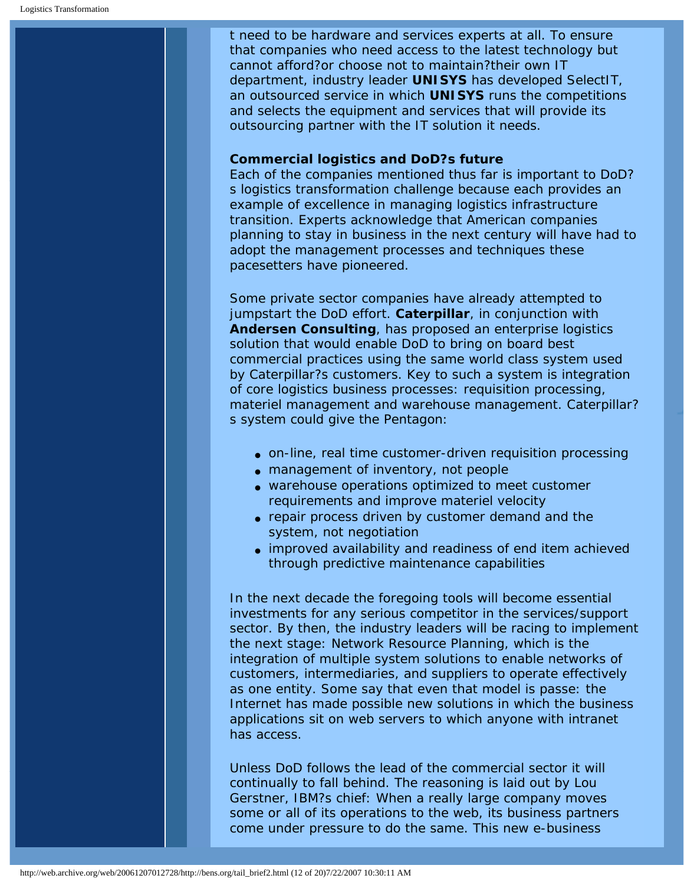t need to be hardware and services experts at all. To ensure that companies who need access to the latest technology but cannot afford?or choose not to maintain?their own IT department, industry leader **UNISYS** has developed SelectIT, an outsourced service in which **UNISYS** runs the competitions and selects the equipment and services that will provide its outsourcing partner with the IT solution it needs.

### **Commercial logistics and DoD?s future**

Each of the companies mentioned thus far is important to DoD? s logistics transformation challenge because each provides an example of excellence in managing logistics infrastructure transition. Experts acknowledge that American companies planning to stay in business in the next century will have had to adopt the management processes and techniques these pacesetters have pioneered.

Some private sector companies have already attempted to jumpstart the DoD effort. **Caterpillar**, in conjunction with **Andersen Consulting**, has proposed an enterprise logistics solution that would enable DoD to bring on board best commercial practices using the same world class system used by Caterpillar?s customers. Key to such a system is integration of core logistics business processes: requisition processing, materiel management and warehouse management. Caterpillar? s system could give the Pentagon:

- on-line, real time customer-driven requisition processing
- management of inventory, not people
- warehouse operations optimized to meet customer requirements and improve materiel velocity
- repair process driven by customer demand and the system, not negotiation
- improved availability and readiness of end item achieved through predictive maintenance capabilities

In the next decade the foregoing tools will become essential investments for any serious competitor in the services/support sector. By then, the industry leaders will be racing to implement the next stage: Network Resource Planning, which is the integration of multiple system solutions to enable networks of customers, intermediaries, and suppliers to operate effectively as one entity. Some say that even that model is passe: the Internet has made possible new solutions in which the business applications sit on web servers to which anyone with intranet has access.

Unless DoD follows the lead of the commercial sector it will continually to fall behind. The reasoning is laid out by Lou Gerstner, IBM?s chief: When a really large company moves some or all of its operations to the web, its business partners come under pressure to do the same. This new e-business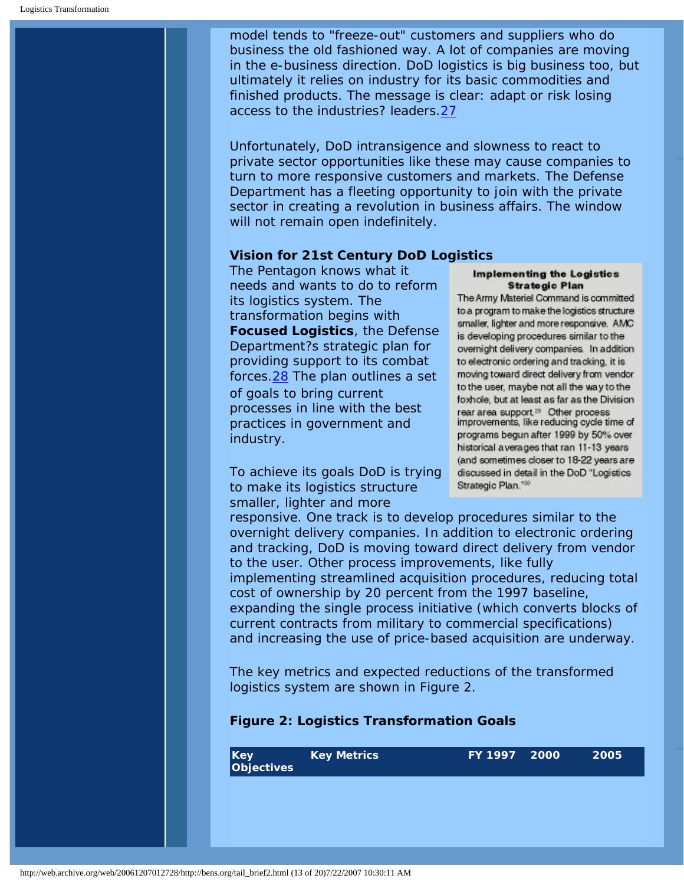model tends to "freeze-out" customers and suppliers who do business the old fashioned way. A lot of companies are moving in the e-business direction. DoD logistics is big business too, but ultimately it relies on industry for its basic commodities and finished products. The message is clear: adapt or risk losing access to the industries? leaders.[27](#page-18-9)

Unfortunately, DoD intransigence and slowness to react to private sector opportunities like these may cause companies to turn to more responsive customers and markets. The Defense Department has a fleeting opportunity to join with the private sector in creating a revolution in business affairs. The window will not remain open indefinitely.

### **Vision for 21st Century DoD Logistics**

The Pentagon knows what it needs and wants to do to reform its logistics system. The transformation begins with **Focused Logistics**, the Defense Department?s strategic plan for providing support to its combat forces.[28](#page-18-10) The plan outlines a set of goals to bring current processes in line with the best practices in government and industry.

To achieve its goals DoD is trying to make its logistics structure smaller, lighter and more

#### Implementing the Logistics **Strategic Plan**

The Army Materiel Command is committed to a program to make the logistics structure smaller, lighter and more responsive. AMC is developing procedures similar to the overnight delivery companies. In addition to electronic ordering and tracking, it is moving toward direct delivery from vendor to the user, maybe not all the way to the foxhole, but at least as far as the Division rear area support.<sup>26</sup> Other process improvements, like reducing cycle time of programs begun after 1999 by 50% over historical averages that ran 11-13 years (and sometimes closer to 18-22 years are discussed in detail in the DoD "Logistics Strategic Plan.<sup>1980</sup>

responsive. One track is to develop procedures similar to the overnight delivery companies. In addition to electronic ordering and tracking, DoD is moving toward direct delivery from vendor to the user. Other process improvements, like fully implementing streamlined acquisition procedures, reducing total cost of ownership by 20 percent from the 1997 baseline, expanding the single process initiative (which converts blocks of current contracts from military to commercial specifications) and increasing the use of price-based acquisition are underway.

The key metrics and expected reductions of the transformed logistics system are shown in Figure 2.

# **Figure 2: Logistics Transformation Goals**

| $ $ Key<br>Objectives | <b>Key Metrics</b> | FY 1997 2000 | 2005 |
|-----------------------|--------------------|--------------|------|
|                       |                    |              |      |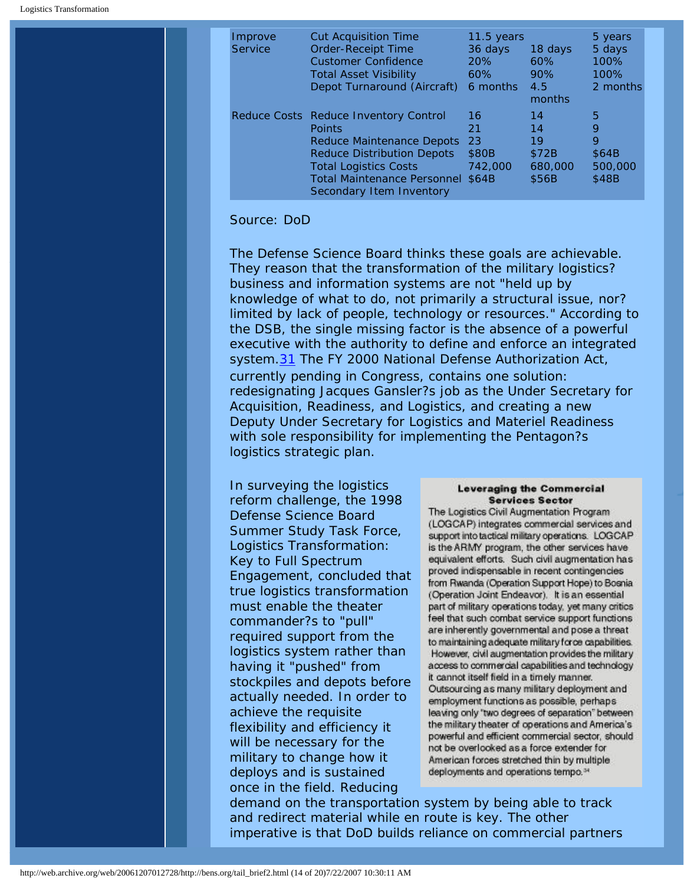| Improve<br><b>Service</b> | <b>Cut Acquisition Time</b><br><b>Order-Receipt Time</b><br><b>Customer Confidence</b><br><b>Total Asset Visibility</b><br>Depot Turnaround (Aircraft)                                                                    | 11.5 years<br>36 days<br><b>20%</b><br>60%<br>6 months | 18 days<br>60%<br>90%<br>4.5<br>months      | 5 years<br>5 days<br>100%<br>100%<br>2 months |
|---------------------------|---------------------------------------------------------------------------------------------------------------------------------------------------------------------------------------------------------------------------|--------------------------------------------------------|---------------------------------------------|-----------------------------------------------|
|                           | Reduce Costs Reduce Inventory Control<br>Points<br><b>Reduce Maintenance Depots</b><br><b>Reduce Distribution Depots</b><br><b>Total Logistics Costs</b><br>Total Maintenance Personnel \$64B<br>Secondary Item Inventory | 16<br>21<br>23<br>\$80B<br>742,000                     | 14<br>14<br>19<br>\$72B<br>680,000<br>\$56B | 5<br>9<br>9<br>\$64B<br>500,000<br>\$48B      |

### Source: DoD

The Defense Science Board thinks these goals are achievable. They reason that the transformation of the military logistics? business and information systems are not "held up by knowledge of what to do, not primarily a structural issue, nor? limited by lack of people, technology or resources." According to the DSB, the single missing factor is the absence of a powerful executive with the authority to define and enforce an integrated system.<sup>31</sup> The FY 2000 National Defense Authorization Act, currently pending in Congress, contains one solution: redesignating Jacques Gansler?s job as the *Under Secretary for Acquisition, Readiness, and Logistics*, and creating a new Deputy Under Secretary for Logistics and Materiel Readiness with sole responsibility for implementing the Pentagon?s logistics strategic plan.

In surveying the logistics reform challenge, the 1998 Defense Science Board Summer Study Task Force, *Logistics Transformation: Key to Full Spectrum Engagement*, concluded that true logistics transformation must enable the theater commander?s to "pull" required support from the logistics system rather than having it "pushed" from stockpiles and depots before actually needed. In order to achieve the requisite flexibility and efficiency it will be necessary for the military to change how it deploys and is sustained once in the field. Reducing

### **Leveraging the Commercial Services Sector**

The Logistics Civil Augmentation Program (LOGCAP) integrates commercial services and support into tactical military operations. LOGCAP is the ARMY program, the other services have equivalent efforts. Such civil augmentation has proved indispensable in recent contingencies from Rwanda (Operation Support Hope) to Bosnia (Operation Joint Endeavor). It is an essential part of military operations today, yet many critics feel that such combat service support functions are inherently governmental and pose a threat to maintaining adequate military force capabilities. However, civil augmentation provides the military access to commercial capabilities and technology it cannot itself field in a timely manner. Outsourcing as many military deployment and employment functions as possible, perhaps leaving only 'two degrees of separation" between the military theater of operations and America's powerful and efficient commercial sector, should not be overlooked as a force extender for American forces stretched thin by multiple deployments and operations tempo.<sup>34</sup>

demand on the transportation system by being able to track and redirect material while en route is key. The other imperative is that DoD builds reliance on commercial partners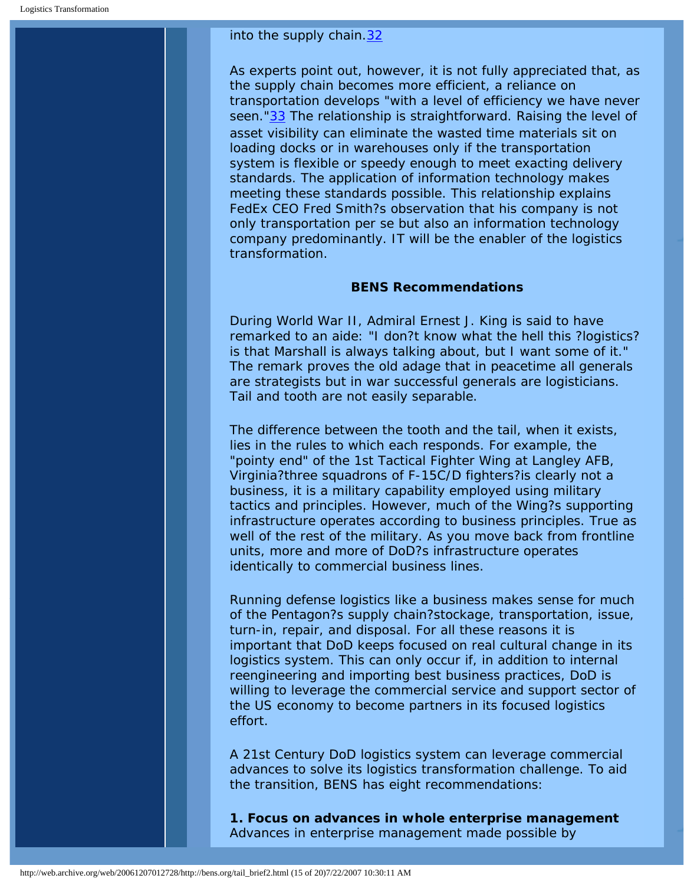### into the supply chain[.32](#page-19-1)

As experts point out, however, it is not fully appreciated that, as the supply chain becomes more efficient, a reliance on transportation develops "with a level of efficiency we have never seen."<sup>33</sup> The relationship is straightforward. Raising the level of asset visibility can eliminate the wasted time materials sit on loading docks or in warehouses only if the transportation system is flexible or speedy enough to meet exacting delivery standards. The application of information technology makes meeting these standards possible. This relationship explains FedEx CEO Fred Smith?s observation that his company is not only transportation per se but also an information technology company predominantly. IT will be the enabler of the logistics transformation.

### **BENS Recommendations**

During World War II, Admiral Ernest J. King is said to have remarked to an aide: "I don?t know what the hell this ?logistics? is that Marshall is always talking about, but I want some of it." The remark proves the old adage that in peacetime all generals are strategists but in war successful generals are logisticians. Tail and tooth are not easily separable.

The difference between the tooth and the tail, when it exists, lies in the rules to which each responds. For example, the "pointy end" of the 1st Tactical Fighter Wing at Langley AFB, Virginia?three squadrons of F-15C/D fighters?is clearly not a business, it is a military capability employed using military tactics and principles. However, much of the Wing?s supporting infrastructure operates according to business principles. True as well of the rest of the military. As you move back from frontline units, more and more of DoD?s infrastructure operates identically to commercial business lines.

Running defense logistics like a business makes sense for much of the Pentagon?s supply chain?stockage, transportation, issue, turn-in, repair, and disposal. For all these reasons it is important that DoD keeps focused on real cultural change in its logistics system. This can only occur if, in addition to internal reengineering and importing best business practices, DoD is willing to leverage the commercial service and support sector of the US economy to become partners in its focused logistics effort.

A 21st Century DoD logistics system can leverage commercial advances to solve its logistics transformation challenge. To aid the transition, BENS has eight recommendations:

**1. Focus on advances in whole enterprise management**  Advances in enterprise management made possible by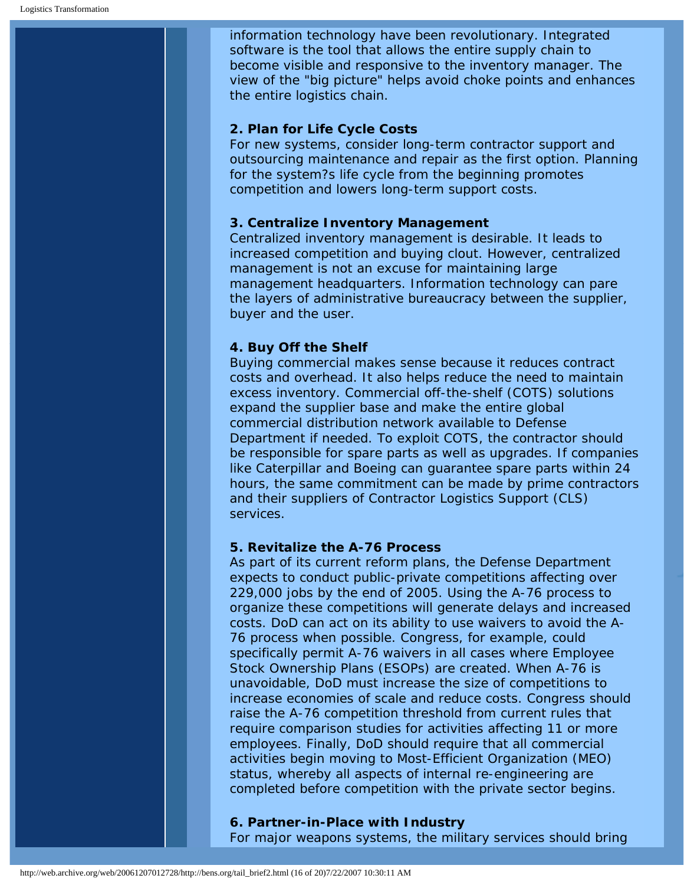information technology have been revolutionary. Integrated software is the tool that allows the entire supply chain to become visible and responsive to the inventory manager. The view of the "big picture" helps avoid choke points and enhances the entire logistics chain.

### **2. Plan for Life Cycle Costs**

For new systems, consider long-term contractor support and outsourcing maintenance and repair as the first option. Planning for the system?s life cycle from the beginning promotes competition and lowers long-term support costs.

### **3. Centralize Inventory Management**

Centralized inventory management is desirable. It leads to increased competition and buying clout. However, centralized management is not an excuse for maintaining large management headquarters. Information technology can pare the layers of administrative bureaucracy between the supplier, buyer and the user.

# **4. Buy Off the Shelf**

Buying commercial makes sense because it reduces contract costs and overhead. It also helps reduce the need to maintain excess inventory. Commercial off-the-shelf (COTS) solutions expand the supplier base and make the entire global commercial distribution network available to Defense Department if needed. To exploit COTS, the contractor should be responsible for spare parts as well as upgrades. If companies like Caterpillar and Boeing can guarantee spare parts within 24 hours, the same commitment can be made by prime contractors and their suppliers of Contractor Logistics Support (CLS) services.

# **5. Revitalize the A-76 Process**

As part of its current reform plans, the Defense Department expects to conduct public-private competitions affecting over 229,000 jobs by the end of 2005. Using the A-76 process to organize these competitions will generate delays and increased costs. DoD can act on its ability to use waivers to avoid the A-76 process when possible. Congress, for example, could specifically permit A-76 waivers in all cases where Employee Stock Ownership Plans (ESOPs) are created. When A-76 is unavoidable, DoD must increase the size of competitions to increase economies of scale and reduce costs. Congress should raise the A-76 competition threshold from current rules that require comparison studies for activities affecting 11 or more employees. Finally, DoD should require that all commercial activities begin moving to Most-Efficient Organization (MEO) status, whereby all aspects of internal re-engineering are completed before competition with the private sector begins.

### **6. Partner-in-Place with Industry**

For major weapons systems, the military services should bring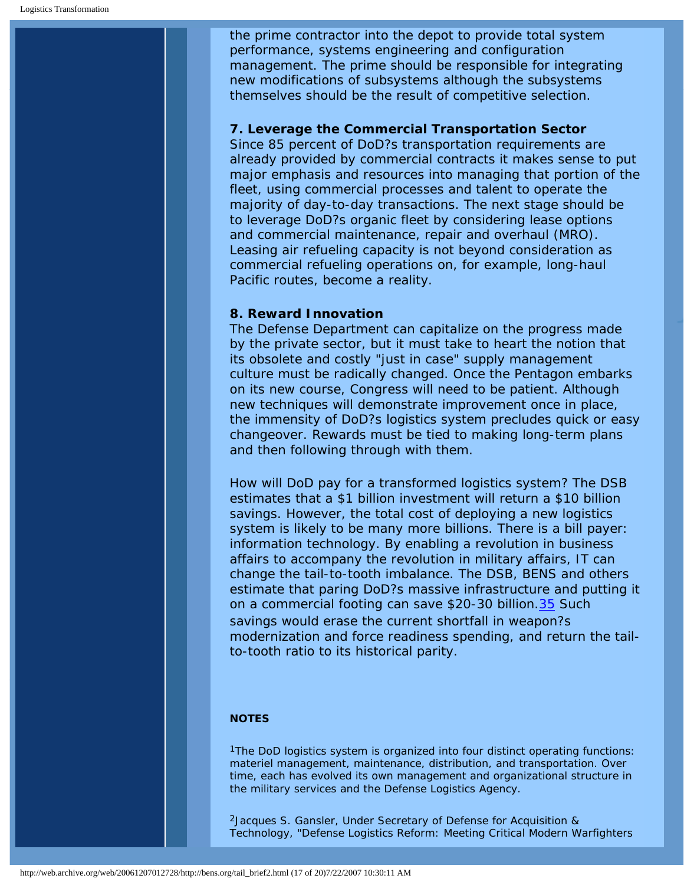the prime contractor into the depot to provide total system performance, systems engineering and configuration management. The prime should be responsible for integrating new modifications of subsystems although the subsystems themselves should be the result of competitive selection.

### **7. Leverage the Commercial Transportation Sector**

Since 85 percent of DoD?s transportation requirements are already provided by commercial contracts it makes sense to put major emphasis and resources into managing that portion of the fleet, using commercial processes and talent to operate the majority of day-to-day transactions. The next stage should be to leverage DoD?s organic fleet by considering lease options and commercial maintenance, repair and overhaul (MRO). Leasing air refueling capacity is not beyond consideration as commercial refueling operations on, for example, long-haul Pacific routes, become a reality.

### **8. Reward Innovation**

The Defense Department can capitalize on the progress made by the private sector, but it must take to heart the notion that its obsolete and costly "just in case" supply management culture must be radically changed. Once the Pentagon embarks on its new course, Congress will need to be patient. Although new techniques will demonstrate improvement once in place, the immensity of DoD?s logistics system precludes quick or easy changeover. Rewards must be tied to making long-term plans and then following through with them.

How will DoD pay for a transformed logistics system? The DSB estimates that a \$1 billion investment will return a \$10 billion savings. However, the total cost of deploying a new logistics system is likely to be many more billions. There is a bill payer: information technology. By enabling a revolution in business affairs to accompany the revolution in military affairs, IT can change the tail-to-tooth imbalance. The DSB, BENS and others estimate that paring DoD?s massive infrastructure and putting it on a commercial footing can save \$20-30 billion.[35](#page-19-3) Such savings would erase the current shortfall in weapon?s modernization and force readiness spending, and return the tailto-tooth ratio to its historical parity.

### **NOTES**

<span id="page-16-0"></span>1The DoD logistics system is organized into four distinct operating functions: materiel management, maintenance, distribution, and transportation. Over time, each has evolved its own management and organizational structure in the military services and the Defense Logistics Agency.

<span id="page-16-1"></span>2Jacques S. Gansler, Under Secretary of Defense for Acquisition & Technology, "Defense Logistics Reform: Meeting Critical Modern Warfighters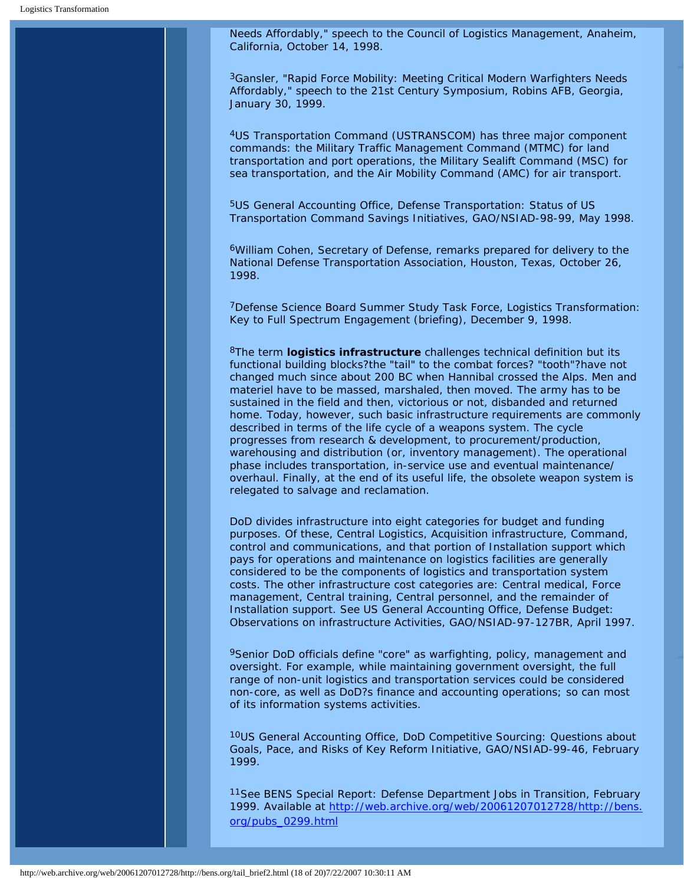Needs Affordably," speech to the Council of Logistics Management, Anaheim, California, October 14, 1998.

<span id="page-17-0"></span>3Gansler, "Rapid Force Mobility: Meeting Critical Modern Warfighters Needs Affordably," speech to the 21st Century Symposium, Robins AFB, Georgia, January 30, 1999.

<span id="page-17-1"></span>4US Transportation Command (USTRANSCOM) has three major component commands: the Military Traffic Management Command (MTMC) for land transportation and port operations, the Military Sealift Command (MSC) for sea transportation, and the Air Mobility Command (AMC) for air transport.

<span id="page-17-2"></span>5US General Accounting Office, *Defense Transportation: Status of US Transportation Command Savings Initiatives*, GAO/NSIAD-98-99, May 1998.

<span id="page-17-3"></span>6William Cohen, Secretary of Defense, remarks prepared for delivery to the National Defense Transportation Association, Houston, Texas, October 26, 1998.

<span id="page-17-4"></span>7Defense Science Board Summer Study Task Force, *Logistics Transformation: Key to Full Spectrum Engagement* (briefing), December 9, 1998.

<span id="page-17-5"></span>8The term **logistics infrastructure** challenges technical definition but its functional building blocks?the "tail" to the combat forces? "tooth"?have not changed much since about 200 BC when Hannibal crossed the Alps. Men and materiel have to be massed, marshaled, then moved. The army has to be sustained in the field and then, victorious or not, disbanded and returned home. Today, however, such basic infrastructure requirements are commonly described in terms of the life cycle of a weapons system. The cycle progresses from research & development, to procurement/production, warehousing and distribution (or, inventory management). The operational phase includes transportation, in-service use and eventual maintenance/ overhaul. Finally, at the end of its useful life, the obsolete weapon system is relegated to salvage and reclamation.

DoD divides infrastructure into eight categories for budget and funding purposes. Of these, Central Logistics, Acquisition infrastructure, Command, control and communications, and that portion of Installation support which pays for operations and maintenance on logistics facilities are generally considered to be the components of logistics and transportation system costs. The other infrastructure cost categories are: Central medical, Force management, Central training, Central personnel, and the remainder of Installation support. See US General Accounting Office, *Defense Budget: Observations on infrastructure Activities*, GAO/NSIAD-97-127BR, April 1997.

<span id="page-17-6"></span>9Senior DoD officials define "core" as warfighting, policy, management and oversight. For example, while maintaining government oversight, the full range of non-unit logistics and transportation services could be considered non-core, as well as DoD?s finance and accounting operations; so can most of its information systems activities.

<span id="page-17-7"></span>10US General Accounting Office, *DoD Competitive Sourcing: Questions about Goals, Pace, and Risks of Key Reform Initiative*, GAO/NSIAD-99-46, February 1999.

<span id="page-17-8"></span>11See BENS Special Report: *Defense Department Jobs in Transition,* February 1999. Available at [http://web.archive.org/web/20061207012728/http://bens.](http://web.archive.org/web/20061207012728/http://bens.org/pubs_0299.html) [org/pubs\\_0299.html](http://web.archive.org/web/20061207012728/http://bens.org/pubs_0299.html)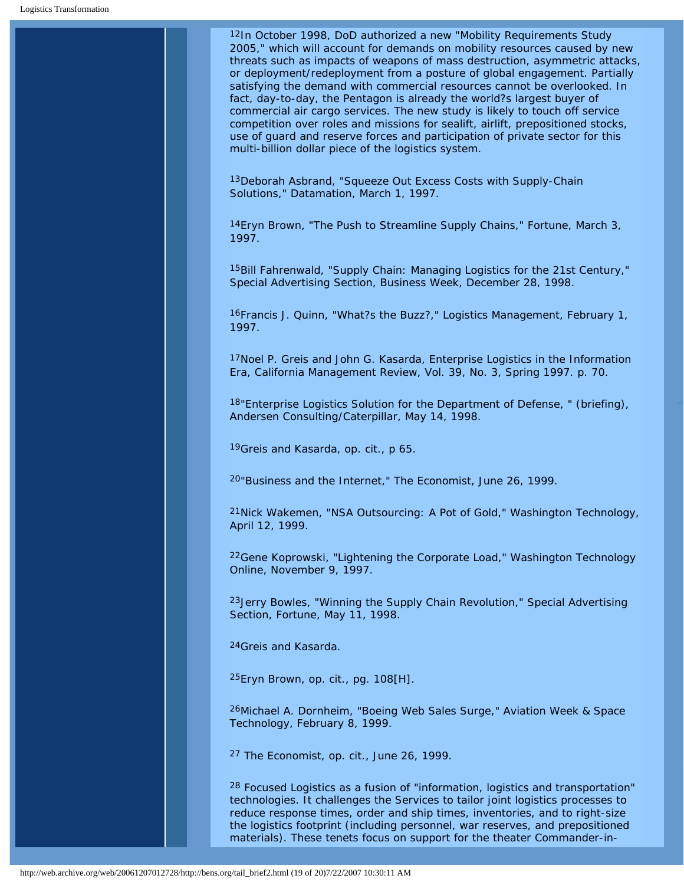<span id="page-18-0"></span>12In October 1998, DoD authorized a new "Mobility Requirements Study 2005," which will account for demands on mobility resources caused by new threats such as impacts of weapons of mass destruction, asymmetric attacks, or deployment/redeployment from a posture of global engagement. Partially satisfying the demand with commercial resources cannot be overlooked. In fact, day-to-day, the Pentagon is already the world?s largest buyer of commercial air cargo services. The new study is likely to touch off service competition over roles and missions for sealift, airlift, prepositioned stocks, use of guard and reserve forces and participation of private sector for this multi-billion dollar piece of the logistics system.

<span id="page-18-1"></span>13Deborah Asbrand, "Squeeze Out Excess Costs with Supply-Chain Solutions," Datamation, March 1, 1997.

<span id="page-18-2"></span>14Eryn Brown, "The Push to Streamline Supply Chains," Fortune, March 3, 1997.

<span id="page-18-3"></span>15Bill Fahrenwald, "Supply Chain: Managing Logistics for the 21st Century," Special Advertising Section, Business Week, December 28, 1998.

16Francis J. Quinn, "What?s the Buzz?," Logistics Management, February 1, 1997.

<span id="page-18-4"></span>17Noel P. Greis and John G. Kasarda, *Enterprise Logistics in the Information Era, California Management Review*, Vol. 39, No. 3, Spring 1997. p. 70.

18"Enterprise Logistics Solution for the Department of Defense, " (briefing), Andersen Consulting/Caterpillar, May 14, 1998.

<span id="page-18-5"></span>19Greis and Kasarda, op. cit., p 65.

20"Business and the Internet," *The Economist*, June 26, 1999.

21Nick Wakemen, "NSA Outsourcing: A Pot of Gold," *Washington Technology*, April 12, 1999.

<span id="page-18-6"></span>22Gene Koprowski, "Lightening the Corporate Load," *Washington Technology Online*, November 9, 1997.

<span id="page-18-7"></span>23Jerry Bowles, "Winning the Supply Chain Revolution," Special Advertising Section, *Fortune*, May 11, 1998.

<span id="page-18-8"></span>24Greis and Kasarda.

25Eryn Brown, op. cit., pg. 108[H].

26Michael A. Dornheim, "Boeing Web Sales Surge," *Aviation Week & Space Technology*, February 8, 1999.

<span id="page-18-9"></span>27 The Economist, op. cit., June 26, 1999.

<span id="page-18-10"></span>28 Focused Logistics as a fusion of "information, logistics and transportation" technologies. It challenges the Services to tailor joint logistics processes to reduce response times, order and ship times, inventories, and to right-size the logistics footprint (including personnel, war reserves, and prepositioned materials). These tenets focus on support for the theater Commander-in